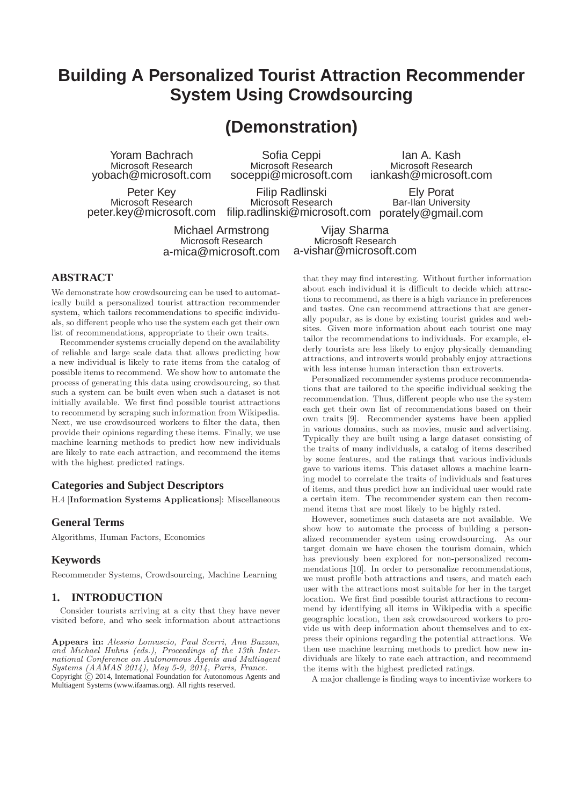# **Building A Personalized Tourist Attraction Recommender System Using Crowdsourcing**

# **(Demonstration)**

Yoram Bachrach Microsoft Research yobach@microsoft.com

Sofia Ceppi Microsoft Research soceppi@microsoft.com

Peter Key Microsoft Research peter.key@microsoft.com

Filip Radlinski Microsoft Research

filip.radlinski@microsoft.com porately@gmail.com Bar-Ilan University Vijay Sharma

Michael Armstrong Microsoft Research a-mica@microsoft.com

Microsoft Research a-vishar@microsoft.com

## **ABSTRACT**

We demonstrate how crowdsourcing can be used to automatically build a personalized tourist attraction recommender system, which tailors recommendations to specific individuals, so different people who use the system each get their own list of recommendations, appropriate to their own traits.

Recommender systems crucially depend on the availability of reliable and large scale data that allows predicting how a new individual is likely to rate items from the catalog of possible items to recommend. We show how to automate the process of generating this data using crowdsourcing, so that such a system can be built even when such a dataset is not initially available. We first find possible tourist attractions to recommend by scraping such information from Wikipedia. Next, we use crowdsourced workers to filter the data, then provide their opinions regarding these items. Finally, we use machine learning methods to predict how new individuals are likely to rate each attraction, and recommend the items with the highest predicted ratings.

### **Categories and Subject Descriptors**

H.4 [Information Systems Applications]: Miscellaneous

#### **General Terms**

Algorithms, Human Factors, Economics

#### **Keywords**

Recommender Systems, Crowdsourcing, Machine Learning

### **1. INTRODUCTION**

Consider tourists arriving at a city that they have never visited before, and who seek information about attractions

Appears in: Alessio Lomuscio, Paul Scerri, Ana Bazzan, and Michael Huhns (eds.), Proceedings of the 13th International Conference on Autonomous Agents and Multiagent Systems (AAMAS 2014), May 5-9, 2014, Paris, France. Copyright  $\overline{c}$  2014, International Foundation for Autonomous Agents and Multiagent Systems (www.ifaamas.org). All rights reserved.

that they may find interesting. Without further information about each individual it is difficult to decide which attractions to recommend, as there is a high variance in preferences and tastes. One can recommend attractions that are generally popular, as is done by existing tourist guides and websites. Given more information about each tourist one may tailor the recommendations to individuals. For example, elderly tourists are less likely to enjoy physically demanding attractions, and introverts would probably enjoy attractions with less intense human interaction than extroverts.

Ian A. Kash Microsoft Research iankash@microsoft.com

Ely Porat

Personalized recommender systems produce recommendations that are tailored to the specific individual seeking the recommendation. Thus, different people who use the system each get their own list of recommendations based on their own traits [9]. Recommender systems have been applied in various domains, such as movies, music and advertising. Typically they are built using a large dataset consisting of the traits of many individuals, a catalog of items described by some features, and the ratings that various individuals gave to various items. This dataset allows a machine learning model to correlate the traits of individuals and features of items, and thus predict how an individual user would rate a certain item. The recommender system can then recommend items that are most likely to be highly rated.

However, sometimes such datasets are not available. We show how to automate the process of building a personalized recommender system using crowdsourcing. As our target domain we have chosen the tourism domain, which has previously been explored for non-personalized recommendations [10]. In order to personalize recommendations, we must profile both attractions and users, and match each user with the attractions most suitable for her in the target location. We first find possible tourist attractions to recommend by identifying all items in Wikipedia with a specific geographic location, then ask crowdsourced workers to provide us with deep information about themselves and to express their opinions regarding the potential attractions. We then use machine learning methods to predict how new individuals are likely to rate each attraction, and recommend the items with the highest predicted ratings.

A major challenge is finding ways to incentivize workers to